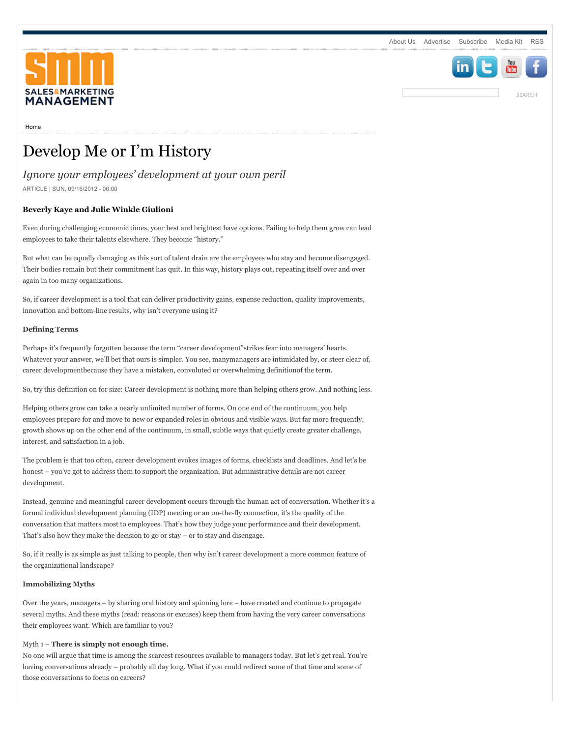



SEARCH



[Home](http://www.salesandmarketing.com/)

# Develop Me or I'm History

# *Ignore your employees' development at your own peril*

ARTICLE | SUN, 09/16/2012 - 00:00

# **Beverly Kaye and Julie Winkle Giulioni**

Even during challenging economic times, your best and brightest have options. Failing to help them grow can lead employees to take their talents elsewhere. They become "history."

But what can be equally damaging as this sort of talent drain are the employees who stay and become disengaged. Their bodies remain but their commitment has quit. In this way, history plays out, repeating itself over and over again in too many organizations.

So, if career development is a tool that can deliver productivity gains, expense reduction, quality improvements, innovation and bottom-line results, why isn't everyone using it?

### **Defining Terms**

Perhaps it's frequently forgotten because the term "career development"strikes fear into managers' hearts. Whatever your answer, we'll bet that ours is simpler. You see, manymanagers are intimidated by, or steer clear of, career developmentbecause they have a mistaken, convoluted or overwhelming definitionof the term.

So, try this definition on for size: Career development is nothing more than helping others grow. And nothing less.

Helping others grow can take a nearly unlimited number of forms. On one end of the continuum, you help employees prepare for and move to new or expanded roles in obvious and visible ways. But far more frequently, growth shows up on the other end of the continuum, in small, subtle ways that quietly create greater challenge, interest, and satisfaction in a job.

The problem is that too often, career development evokes images of forms, checklists and deadlines. And let's be honest – you've got to address them to support the organization. But administrative details are not career development.

Instead, genuine and meaningful career development occurs through the human act of conversation. Whether it's a formal individual development planning (IDP) meeting or an on-the-fly connection, it's the quality of the conversation that matters most to employees. That's how they judge your performance and their development. That's also how they make the decision to go or stay – or to stay and disengage.

So, if it really is as simple as just talking to people, then why isn't career development a more common feature of the organizational landscape?

#### **Immobilizing Myths**

Over the years, managers – by sharing oral history and spinning lore – have created and continue to propagate several myths. And these myths (read: reasons or excuses) keep them from having the very career conversations their employees want. Which are familiar to you?

# Myth 1 – **There is simply not enough time.**

No one will argue that time is among the scarcest resources available to managers today. But let's get real. You're having conversations already – probably all day long. What if you could redirect some of that time and some of those conversations to focus on careers?